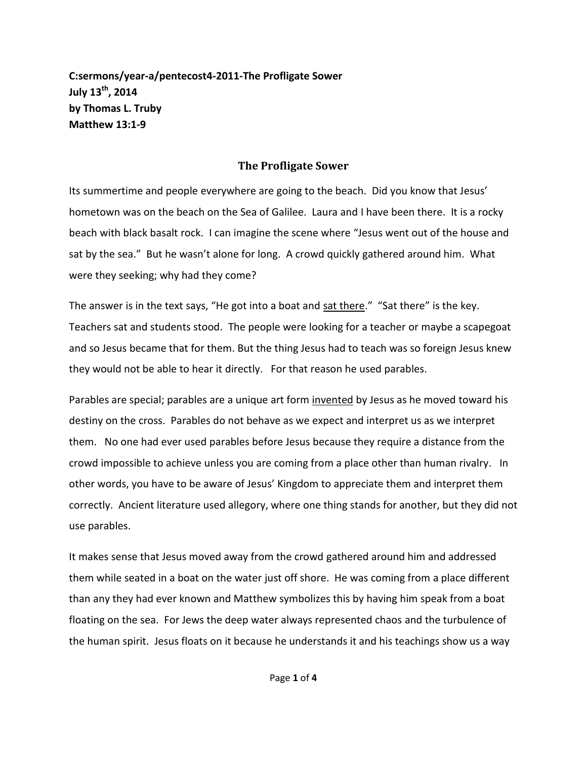**C:sermons/year-a/pentecost4-2011-The Profligate Sower July 13 th, 2014 by Thomas L. Truby Matthew 13:1-9**

## **The Profligate Sower**

Its summertime and people everywhere are going to the beach. Did you know that Jesus' hometown was on the beach on the Sea of Galilee. Laura and I have been there. It is a rocky beach with black basalt rock. I can imagine the scene where "Jesus went out of the house and sat by the sea." But he wasn't alone for long. A crowd quickly gathered around him. What were they seeking; why had they come?

The answer is in the text says, "He got into a boat and sat there." "Sat there" is the key. Teachers sat and students stood. The people were looking for a teacher or maybe a scapegoat and so Jesus became that for them. But the thing Jesus had to teach was so foreign Jesus knew they would not be able to hear it directly. For that reason he used parables.

Parables are special; parables are a unique art form invented by Jesus as he moved toward his destiny on the cross. Parables do not behave as we expect and interpret us as we interpret them. No one had ever used parables before Jesus because they require a distance from the crowd impossible to achieve unless you are coming from a place other than human rivalry. In other words, you have to be aware of Jesus' Kingdom to appreciate them and interpret them correctly. Ancient literature used allegory, where one thing stands for another, but they did not use parables.

It makes sense that Jesus moved away from the crowd gathered around him and addressed them while seated in a boat on the water just off shore. He was coming from a place different than any they had ever known and Matthew symbolizes this by having him speak from a boat floating on the sea. For Jews the deep water always represented chaos and the turbulence of the human spirit. Jesus floats on it because he understands it and his teachings show us a way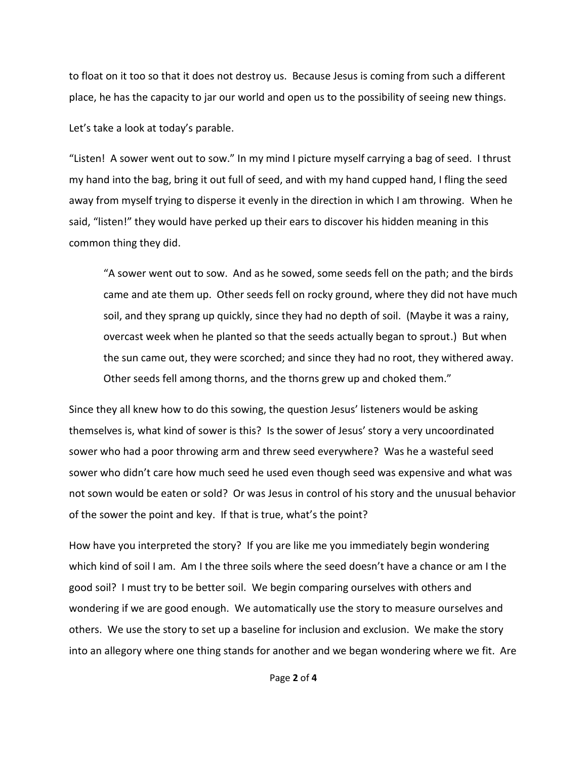to float on it too so that it does not destroy us. Because Jesus is coming from such a different place, he has the capacity to jar our world and open us to the possibility of seeing new things.

Let's take a look at today's parable.

"Listen! A sower went out to sow." In my mind I picture myself carrying a bag of seed. I thrust my hand into the bag, bring it out full of seed, and with my hand cupped hand, I fling the seed away from myself trying to disperse it evenly in the direction in which I am throwing. When he said, "listen!" they would have perked up their ears to discover his hidden meaning in this common thing they did.

"A sower went out to sow. And as he sowed, some seeds fell on the path; and the birds came and ate them up. Other seeds fell on rocky ground, where they did not have much soil, and they sprang up quickly, since they had no depth of soil. (Maybe it was a rainy, overcast week when he planted so that the seeds actually began to sprout.) But when the sun came out, they were scorched; and since they had no root, they withered away. Other seeds fell among thorns, and the thorns grew up and choked them."

Since they all knew how to do this sowing, the question Jesus' listeners would be asking themselves is, what kind of sower is this? Is the sower of Jesus' story a very uncoordinated sower who had a poor throwing arm and threw seed everywhere? Was he a wasteful seed sower who didn't care how much seed he used even though seed was expensive and what was not sown would be eaten or sold? Or was Jesus in control of his story and the unusual behavior of the sower the point and key. If that is true, what's the point?

How have you interpreted the story? If you are like me you immediately begin wondering which kind of soil I am. Am I the three soils where the seed doesn't have a chance or am I the good soil? I must try to be better soil. We begin comparing ourselves with others and wondering if we are good enough. We automatically use the story to measure ourselves and others. We use the story to set up a baseline for inclusion and exclusion. We make the story into an allegory where one thing stands for another and we began wondering where we fit. Are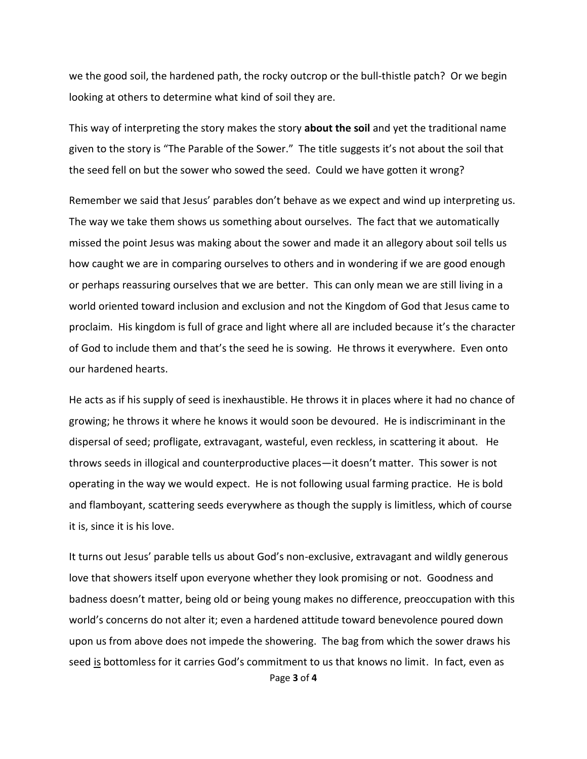we the good soil, the hardened path, the rocky outcrop or the bull-thistle patch? Or we begin looking at others to determine what kind of soil they are.

This way of interpreting the story makes the story **about the soil** and yet the traditional name given to the story is "The Parable of the Sower." The title suggests it's not about the soil that the seed fell on but the sower who sowed the seed. Could we have gotten it wrong?

Remember we said that Jesus' parables don't behave as we expect and wind up interpreting us. The way we take them shows us something about ourselves. The fact that we automatically missed the point Jesus was making about the sower and made it an allegory about soil tells us how caught we are in comparing ourselves to others and in wondering if we are good enough or perhaps reassuring ourselves that we are better. This can only mean we are still living in a world oriented toward inclusion and exclusion and not the Kingdom of God that Jesus came to proclaim. His kingdom is full of grace and light where all are included because it's the character of God to include them and that's the seed he is sowing. He throws it everywhere. Even onto our hardened hearts.

He acts as if his supply of seed is inexhaustible. He throws it in places where it had no chance of growing; he throws it where he knows it would soon be devoured. He is indiscriminant in the dispersal of seed; profligate, extravagant, wasteful, even reckless, in scattering it about. He throws seeds in illogical and counterproductive places—it doesn't matter. This sower is not operating in the way we would expect. He is not following usual farming practice. He is bold and flamboyant, scattering seeds everywhere as though the supply is limitless, which of course it is, since it is his love.

Page **3** of **4** It turns out Jesus' parable tells us about God's non-exclusive, extravagant and wildly generous love that showers itself upon everyone whether they look promising or not. Goodness and badness doesn't matter, being old or being young makes no difference, preoccupation with this world's concerns do not alter it; even a hardened attitude toward benevolence poured down upon us from above does not impede the showering. The bag from which the sower draws his seed is bottomless for it carries God's commitment to us that knows no limit. In fact, even as